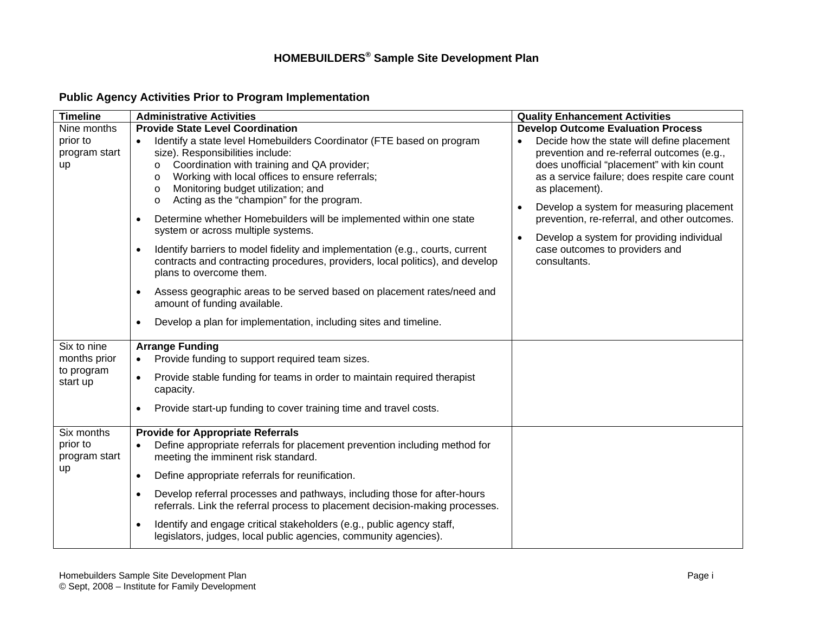# **HOMEBUILDERS® Sample Site Development Plan**

## **Public Agency Activities Prior to Program Implementation**

| <b>Timeline</b>                                       | <b>Administrative Activities</b>                                                                                                                                                                                                                                                                                                                                                                                                                                                                                                                                                                                                                                                                                                                                                                                                                                                          | <b>Quality Enhancement Activities</b>                                                                                                                                                                                                                                                                                                                                                                                                             |
|-------------------------------------------------------|-------------------------------------------------------------------------------------------------------------------------------------------------------------------------------------------------------------------------------------------------------------------------------------------------------------------------------------------------------------------------------------------------------------------------------------------------------------------------------------------------------------------------------------------------------------------------------------------------------------------------------------------------------------------------------------------------------------------------------------------------------------------------------------------------------------------------------------------------------------------------------------------|---------------------------------------------------------------------------------------------------------------------------------------------------------------------------------------------------------------------------------------------------------------------------------------------------------------------------------------------------------------------------------------------------------------------------------------------------|
| Nine months<br>prior to<br>program start<br>up        | <b>Provide State Level Coordination</b><br>Identify a state level Homebuilders Coordinator (FTE based on program<br>size). Responsibilities include:<br>Coordination with training and QA provider;<br>o<br>Working with local offices to ensure referrals;<br>о<br>Monitoring budget utilization; and<br>о<br>Acting as the "champion" for the program.<br>o<br>Determine whether Homebuilders will be implemented within one state<br>٠<br>system or across multiple systems.<br>Identify barriers to model fidelity and implementation (e.g., courts, current<br>$\bullet$<br>contracts and contracting procedures, providers, local politics), and develop<br>plans to overcome them.<br>Assess geographic areas to be served based on placement rates/need and<br>٠<br>amount of funding available.<br>Develop a plan for implementation, including sites and timeline.<br>$\bullet$ | <b>Develop Outcome Evaluation Process</b><br>Decide how the state will define placement<br>prevention and re-referral outcomes (e.g.,<br>does unofficial "placement" with kin count<br>as a service failure; does respite care count<br>as placement).<br>Develop a system for measuring placement<br>prevention, re-referral, and other outcomes.<br>Develop a system for providing individual<br>case outcomes to providers and<br>consultants. |
| Six to nine<br>months prior<br>to program<br>start up | <b>Arrange Funding</b><br>Provide funding to support required team sizes.<br>$\bullet$<br>Provide stable funding for teams in order to maintain required therapist<br>$\bullet$<br>capacity.<br>Provide start-up funding to cover training time and travel costs.<br>$\bullet$                                                                                                                                                                                                                                                                                                                                                                                                                                                                                                                                                                                                            |                                                                                                                                                                                                                                                                                                                                                                                                                                                   |
| Six months<br>prior to<br>program start<br>up         | <b>Provide for Appropriate Referrals</b><br>Define appropriate referrals for placement prevention including method for<br>$\bullet$<br>meeting the imminent risk standard.<br>Define appropriate referrals for reunification.<br>$\bullet$<br>Develop referral processes and pathways, including those for after-hours<br>$\bullet$<br>referrals. Link the referral process to placement decision-making processes.<br>Identify and engage critical stakeholders (e.g., public agency staff,<br>٠<br>legislators, judges, local public agencies, community agencies).                                                                                                                                                                                                                                                                                                                     |                                                                                                                                                                                                                                                                                                                                                                                                                                                   |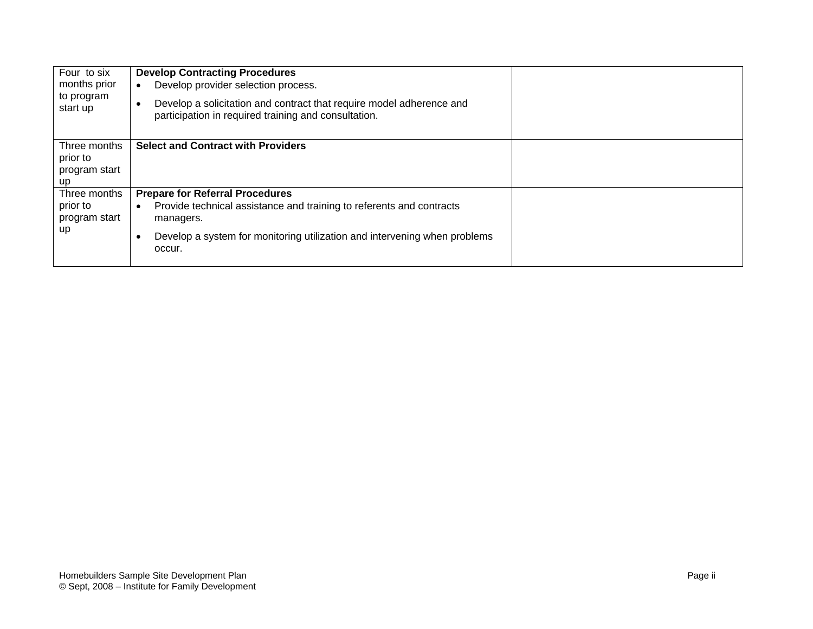| Four to six<br>months prior<br>to program<br>start up | <b>Develop Contracting Procedures</b><br>Develop provider selection process.<br>$\bullet$<br>Develop a solicitation and contract that require model adherence and<br>participation in required training and consultation.            |  |
|-------------------------------------------------------|--------------------------------------------------------------------------------------------------------------------------------------------------------------------------------------------------------------------------------------|--|
| Three months<br>prior to<br>program start<br>up       | <b>Select and Contract with Providers</b>                                                                                                                                                                                            |  |
| Three months<br>prior to<br>program start<br>up       | <b>Prepare for Referral Procedures</b><br>Provide technical assistance and training to referents and contracts<br>$\bullet$<br>managers.<br>Develop a system for monitoring utilization and intervening when problems<br>٠<br>occur. |  |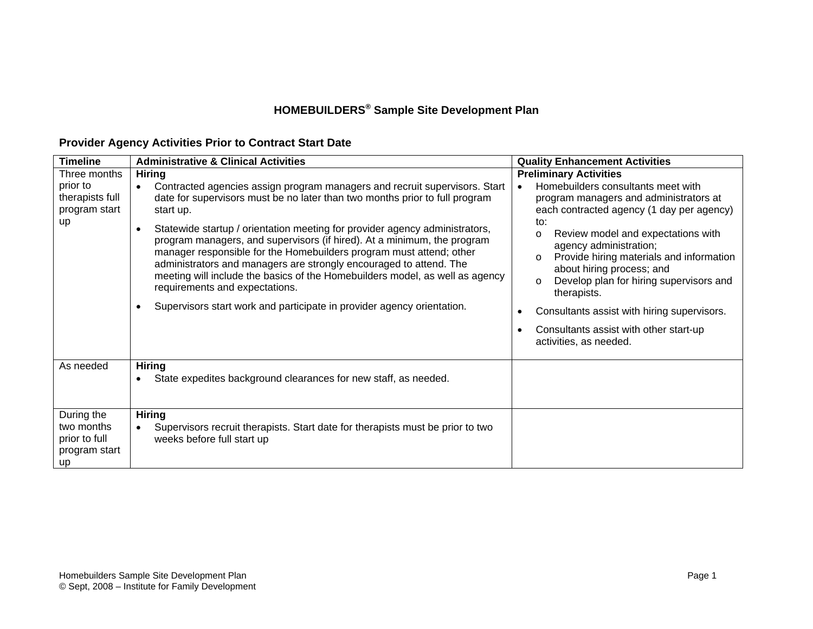## **HOMEBUILDERS® Sample Site Development Plan**

### **Provider Agency Activities Prior to Contract Start Date**

| <b>Timeline</b>                                                           | <b>Administrative &amp; Clinical Activities</b>                                                                                                                                                                                                                                                                                                                                                                                                                                                                                                                                                                                                                                                                                   | <b>Quality Enhancement Activities</b>                                                                                                                                                                                                                                                                                                                                                                                                                                                                                                  |
|---------------------------------------------------------------------------|-----------------------------------------------------------------------------------------------------------------------------------------------------------------------------------------------------------------------------------------------------------------------------------------------------------------------------------------------------------------------------------------------------------------------------------------------------------------------------------------------------------------------------------------------------------------------------------------------------------------------------------------------------------------------------------------------------------------------------------|----------------------------------------------------------------------------------------------------------------------------------------------------------------------------------------------------------------------------------------------------------------------------------------------------------------------------------------------------------------------------------------------------------------------------------------------------------------------------------------------------------------------------------------|
| Three months<br>prior to<br>therapists full<br>program start<br><b>up</b> | <b>Hiring</b><br>Contracted agencies assign program managers and recruit supervisors. Start<br>$\bullet$<br>date for supervisors must be no later than two months prior to full program<br>start up.<br>Statewide startup / orientation meeting for provider agency administrators,<br>$\bullet$<br>program managers, and supervisors (if hired). At a minimum, the program<br>manager responsible for the Homebuilders program must attend; other<br>administrators and managers are strongly encouraged to attend. The<br>meeting will include the basics of the Homebuilders model, as well as agency<br>requirements and expectations.<br>Supervisors start work and participate in provider agency orientation.<br>$\bullet$ | <b>Preliminary Activities</b><br>Homebuilders consultants meet with<br>$\bullet$<br>program managers and administrators at<br>each contracted agency (1 day per agency)<br>to:<br>Review model and expectations with<br>O<br>agency administration;<br>Provide hiring materials and information<br>$\circ$<br>about hiring process; and<br>Develop plan for hiring supervisors and<br>O<br>therapists.<br>Consultants assist with hiring supervisors.<br>Consultants assist with other start-up<br>$\bullet$<br>activities, as needed. |
| As needed                                                                 | <b>Hiring</b><br>State expedites background clearances for new staff, as needed.<br>$\bullet$                                                                                                                                                                                                                                                                                                                                                                                                                                                                                                                                                                                                                                     |                                                                                                                                                                                                                                                                                                                                                                                                                                                                                                                                        |
| During the<br>two months<br>prior to full<br>program start<br><b>up</b>   | <b>Hiring</b><br>Supervisors recruit therapists. Start date for therapists must be prior to two<br>$\bullet$<br>weeks before full start up                                                                                                                                                                                                                                                                                                                                                                                                                                                                                                                                                                                        |                                                                                                                                                                                                                                                                                                                                                                                                                                                                                                                                        |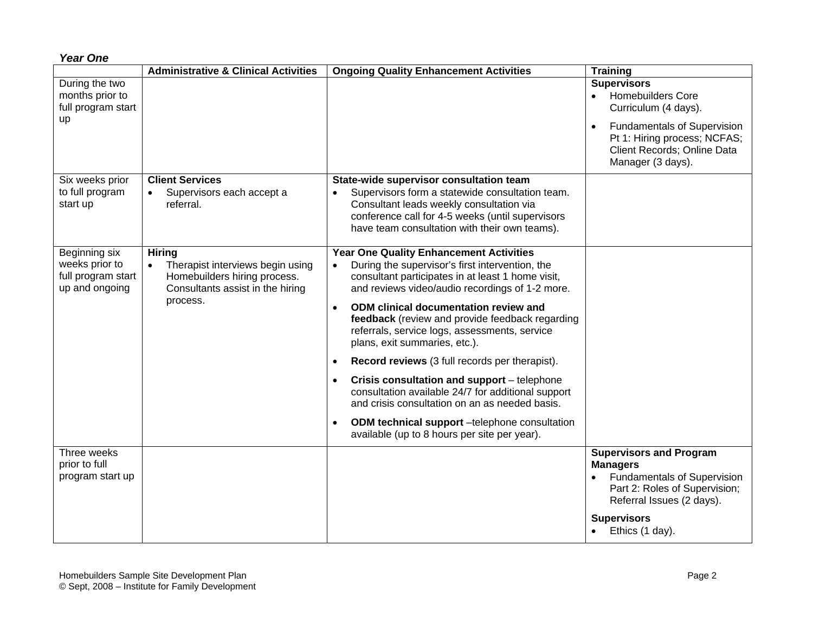| <b>Year One</b> |  |
|-----------------|--|
|-----------------|--|

|                                                                         | <b>Administrative &amp; Clinical Activities</b>                                                                                   | <b>Ongoing Quality Enhancement Activities</b>                                                                                                                                                                                                                                                                                                                                                                                                                                                                                                                                                                                                                                                                                      | <b>Training</b>                                                                                                                                                                                          |
|-------------------------------------------------------------------------|-----------------------------------------------------------------------------------------------------------------------------------|------------------------------------------------------------------------------------------------------------------------------------------------------------------------------------------------------------------------------------------------------------------------------------------------------------------------------------------------------------------------------------------------------------------------------------------------------------------------------------------------------------------------------------------------------------------------------------------------------------------------------------------------------------------------------------------------------------------------------------|----------------------------------------------------------------------------------------------------------------------------------------------------------------------------------------------------------|
| During the two<br>months prior to<br>full program start<br><b>up</b>    |                                                                                                                                   |                                                                                                                                                                                                                                                                                                                                                                                                                                                                                                                                                                                                                                                                                                                                    | <b>Supervisors</b><br>• Homebuilders Core<br>Curriculum (4 days).<br><b>Fundamentals of Supervision</b><br>$\bullet$<br>Pt 1: Hiring process; NCFAS;<br>Client Records; Online Data<br>Manager (3 days). |
| Six weeks prior<br>to full program<br>start up                          | <b>Client Services</b><br>Supervisors each accept a<br>referral.                                                                  | State-wide supervisor consultation team<br>Supervisors form a statewide consultation team.<br>$\bullet$<br>Consultant leads weekly consultation via<br>conference call for 4-5 weeks (until supervisors<br>have team consultation with their own teams).                                                                                                                                                                                                                                                                                                                                                                                                                                                                           |                                                                                                                                                                                                          |
| Beginning six<br>weeks prior to<br>full program start<br>up and ongoing | <b>Hiring</b><br>Therapist interviews begin using<br>Homebuilders hiring process.<br>Consultants assist in the hiring<br>process. | <b>Year One Quality Enhancement Activities</b><br>During the supervisor's first intervention, the<br>$\bullet$<br>consultant participates in at least 1 home visit,<br>and reviews video/audio recordings of 1-2 more.<br><b>ODM</b> clinical documentation review and<br>$\bullet$<br>feedback (review and provide feedback regarding<br>referrals, service logs, assessments, service<br>plans, exit summaries, etc.).<br>Record reviews (3 full records per therapist).<br>Crisis consultation and support - telephone<br>consultation available 24/7 for additional support<br>and crisis consultation on an as needed basis.<br>ODM technical support -telephone consultation<br>available (up to 8 hours per site per year). |                                                                                                                                                                                                          |
| Three weeks<br>prior to full<br>program start up                        |                                                                                                                                   |                                                                                                                                                                                                                                                                                                                                                                                                                                                                                                                                                                                                                                                                                                                                    | <b>Supervisors and Program</b><br><b>Managers</b><br><b>Fundamentals of Supervision</b><br>Part 2: Roles of Supervision;<br>Referral Issues (2 days).<br><b>Supervisors</b><br>Ethics (1 day).           |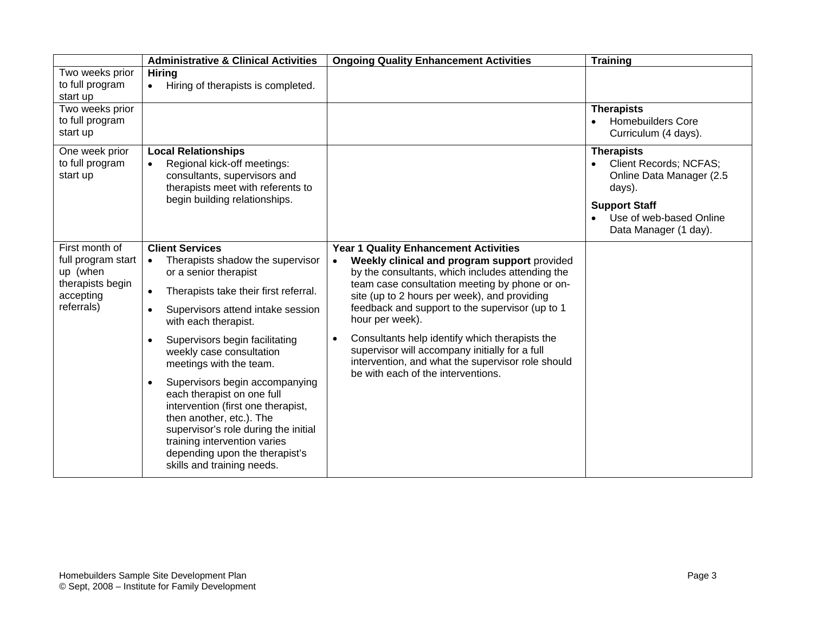|                                                | <b>Administrative &amp; Clinical Activities</b>                                                                                                                                                                                                                                     | <b>Ongoing Quality Enhancement Activities</b>                                                                                                                                                            | <b>Training</b>                                                                                           |
|------------------------------------------------|-------------------------------------------------------------------------------------------------------------------------------------------------------------------------------------------------------------------------------------------------------------------------------------|----------------------------------------------------------------------------------------------------------------------------------------------------------------------------------------------------------|-----------------------------------------------------------------------------------------------------------|
| Two weeks prior<br>to full program<br>start up | <b>Hiring</b><br>Hiring of therapists is completed.<br>$\bullet$                                                                                                                                                                                                                    |                                                                                                                                                                                                          |                                                                                                           |
| Two weeks prior<br>to full program<br>start up |                                                                                                                                                                                                                                                                                     |                                                                                                                                                                                                          | <b>Therapists</b><br><b>Homebuilders Core</b><br>Curriculum (4 days).                                     |
| One week prior<br>to full program<br>start up  | <b>Local Relationships</b><br>Regional kick-off meetings:<br>$\bullet$<br>consultants, supervisors and<br>therapists meet with referents to<br>begin building relationships.                                                                                                        |                                                                                                                                                                                                          | <b>Therapists</b><br>Client Records; NCFAS;<br>Online Data Manager (2.5<br>days).<br><b>Support Staff</b> |
|                                                |                                                                                                                                                                                                                                                                                     |                                                                                                                                                                                                          | Use of web-based Online<br>Data Manager (1 day).                                                          |
| First month of                                 | <b>Client Services</b>                                                                                                                                                                                                                                                              | <b>Year 1 Quality Enhancement Activities</b>                                                                                                                                                             |                                                                                                           |
| full program start<br>up (when                 | Therapists shadow the supervisor<br>$\bullet$<br>or a senior therapist                                                                                                                                                                                                              | Weekly clinical and program support provided<br>$\bullet$<br>by the consultants, which includes attending the                                                                                            |                                                                                                           |
| therapists begin<br>accepting                  | Therapists take their first referral.<br>$\bullet$                                                                                                                                                                                                                                  | team case consultation meeting by phone or on-<br>site (up to 2 hours per week), and providing                                                                                                           |                                                                                                           |
| referrals)                                     | Supervisors attend intake session<br>$\bullet$<br>with each therapist.                                                                                                                                                                                                              | feedback and support to the supervisor (up to 1<br>hour per week).                                                                                                                                       |                                                                                                           |
|                                                | Supervisors begin facilitating<br>$\bullet$<br>weekly case consultation<br>meetings with the team.                                                                                                                                                                                  | Consultants help identify which therapists the<br>$\bullet$<br>supervisor will accompany initially for a full<br>intervention, and what the supervisor role should<br>be with each of the interventions. |                                                                                                           |
|                                                | Supervisors begin accompanying<br>$\bullet$<br>each therapist on one full<br>intervention (first one therapist,<br>then another, etc.). The<br>supervisor's role during the initial<br>training intervention varies<br>depending upon the therapist's<br>skills and training needs. |                                                                                                                                                                                                          |                                                                                                           |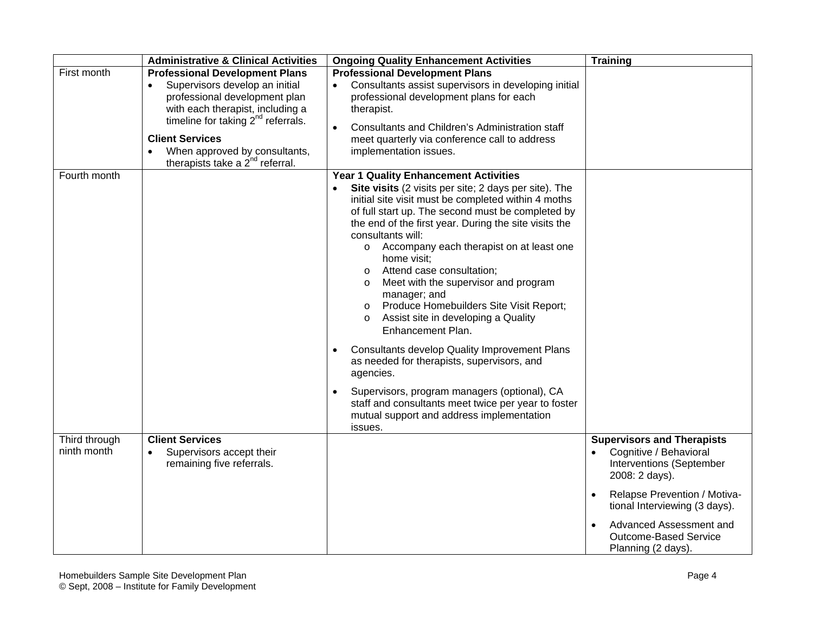|                              | <b>Administrative &amp; Clinical Activities</b>                                                                                                                                                                                                                                                | <b>Ongoing Quality Enhancement Activities</b>                                                                                                                                                                                                                                                                                                                                                                                                                                                                                                                                                                                                                                                                                        | <b>Training</b>                                                                                                                                                                                                                                             |
|------------------------------|------------------------------------------------------------------------------------------------------------------------------------------------------------------------------------------------------------------------------------------------------------------------------------------------|--------------------------------------------------------------------------------------------------------------------------------------------------------------------------------------------------------------------------------------------------------------------------------------------------------------------------------------------------------------------------------------------------------------------------------------------------------------------------------------------------------------------------------------------------------------------------------------------------------------------------------------------------------------------------------------------------------------------------------------|-------------------------------------------------------------------------------------------------------------------------------------------------------------------------------------------------------------------------------------------------------------|
| First month                  | <b>Professional Development Plans</b><br>Supervisors develop an initial<br>professional development plan<br>with each therapist, including a<br>timeline for taking $2nd$ referrals.<br><b>Client Services</b><br>When approved by consultants,<br>therapists take a 2 <sup>nd</sup> referral. | <b>Professional Development Plans</b><br>Consultants assist supervisors in developing initial<br>professional development plans for each<br>therapist.<br>Consultants and Children's Administration staff<br>$\bullet$<br>meet quarterly via conference call to address<br>implementation issues.                                                                                                                                                                                                                                                                                                                                                                                                                                    |                                                                                                                                                                                                                                                             |
| Fourth month                 |                                                                                                                                                                                                                                                                                                | <b>Year 1 Quality Enhancement Activities</b><br>Site visits (2 visits per site; 2 days per site). The<br>initial site visit must be completed within 4 moths<br>of full start up. The second must be completed by<br>the end of the first year. During the site visits the<br>consultants will:<br>o Accompany each therapist on at least one<br>home visit;<br>Attend case consultation;<br>$\circ$<br>Meet with the supervisor and program<br>$\circ$<br>manager; and<br>Produce Homebuilders Site Visit Report;<br>$\circ$<br>Assist site in developing a Quality<br>$\circ$<br>Enhancement Plan.<br><b>Consultants develop Quality Improvement Plans</b><br>$\bullet$<br>as needed for therapists, supervisors, and<br>agencies. |                                                                                                                                                                                                                                                             |
|                              |                                                                                                                                                                                                                                                                                                | Supervisors, program managers (optional), CA<br>$\bullet$<br>staff and consultants meet twice per year to foster<br>mutual support and address implementation<br>issues.                                                                                                                                                                                                                                                                                                                                                                                                                                                                                                                                                             |                                                                                                                                                                                                                                                             |
| Third through<br>ninth month | <b>Client Services</b><br>Supervisors accept their<br>$\bullet$<br>remaining five referrals.                                                                                                                                                                                                   |                                                                                                                                                                                                                                                                                                                                                                                                                                                                                                                                                                                                                                                                                                                                      | <b>Supervisors and Therapists</b><br>Cognitive / Behavioral<br>Interventions (September<br>2008: 2 days).<br>Relapse Prevention / Motiva-<br>tional Interviewing (3 days).<br>Advanced Assessment and<br><b>Outcome-Based Service</b><br>Planning (2 days). |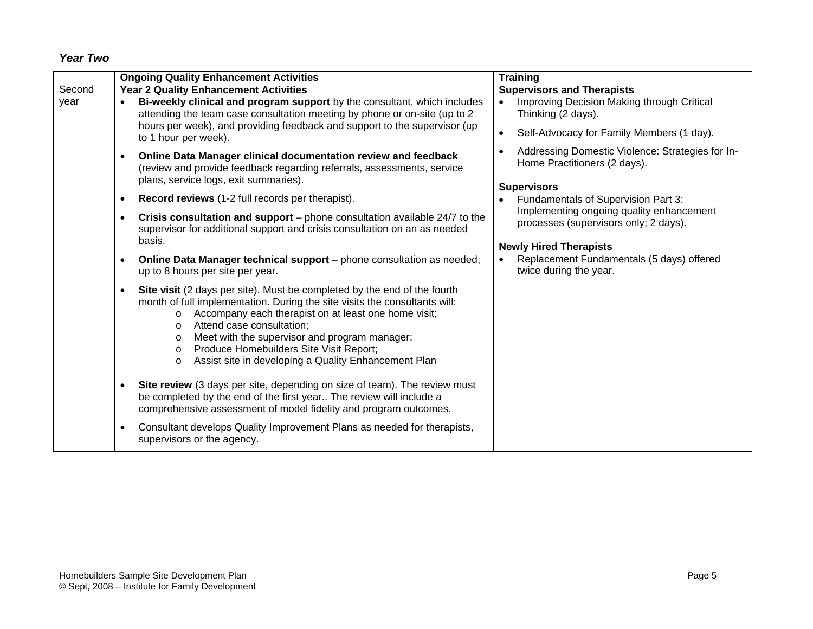#### *Year Two*

|                | <b>Ongoing Quality Enhancement Activities</b>                                                                                                                                                                                                                                                                                                                                                                                                                                                                                                                                                                                                                                                                                                                                                                                                                                                                                                                                                                                                                                                                                                                                                                                                                                                                                                                                                                   | <b>Training</b>                                                                                                                                                                                                                                                                                                                            |
|----------------|-----------------------------------------------------------------------------------------------------------------------------------------------------------------------------------------------------------------------------------------------------------------------------------------------------------------------------------------------------------------------------------------------------------------------------------------------------------------------------------------------------------------------------------------------------------------------------------------------------------------------------------------------------------------------------------------------------------------------------------------------------------------------------------------------------------------------------------------------------------------------------------------------------------------------------------------------------------------------------------------------------------------------------------------------------------------------------------------------------------------------------------------------------------------------------------------------------------------------------------------------------------------------------------------------------------------------------------------------------------------------------------------------------------------|--------------------------------------------------------------------------------------------------------------------------------------------------------------------------------------------------------------------------------------------------------------------------------------------------------------------------------------------|
| Second<br>year | <b>Year 2 Quality Enhancement Activities</b><br>Bi-weekly clinical and program support by the consultant, which includes<br>attending the team case consultation meeting by phone or on-site (up to 2<br>hours per week), and providing feedback and support to the supervisor (up<br>to 1 hour per week).                                                                                                                                                                                                                                                                                                                                                                                                                                                                                                                                                                                                                                                                                                                                                                                                                                                                                                                                                                                                                                                                                                      | <b>Supervisors and Therapists</b><br>Improving Decision Making through Critical<br>$\bullet$<br>Thinking (2 days).<br>Self-Advocacy for Family Members (1 day).                                                                                                                                                                            |
|                | Online Data Manager clinical documentation review and feedback<br>$\bullet$<br>(review and provide feedback regarding referrals, assessments, service<br>plans, service logs, exit summaries).<br>Record reviews (1-2 full records per therapist).<br>$\bullet$<br>Crisis consultation and support $-$ phone consultation available 24/7 to the<br>$\bullet$<br>supervisor for additional support and crisis consultation on an as needed<br>basis.<br>Online Data Manager technical support – phone consultation as needed,<br>$\bullet$<br>up to 8 hours per site per year.<br>Site visit (2 days per site). Must be completed by the end of the fourth<br>$\bullet$<br>month of full implementation. During the site visits the consultants will:<br>Accompany each therapist on at least one home visit;<br>$\circ$<br>Attend case consultation;<br>$\circ$<br>Meet with the supervisor and program manager;<br>$\circ$<br>Produce Homebuilders Site Visit Report;<br>$\circ$<br>Assist site in developing a Quality Enhancement Plan<br>$\circ$<br>Site review (3 days per site, depending on size of team). The review must<br>$\bullet$<br>be completed by the end of the first year The review will include a<br>comprehensive assessment of model fidelity and program outcomes.<br>Consultant develops Quality Improvement Plans as needed for therapists,<br>$\bullet$<br>supervisors or the agency. | Addressing Domestic Violence: Strategies for In-<br>Home Practitioners (2 days).<br><b>Supervisors</b><br>Fundamentals of Supervision Part 3:<br>Implementing ongoing quality enhancement<br>processes (supervisors only; 2 days).<br><b>Newly Hired Therapists</b><br>Replacement Fundamentals (5 days) offered<br>twice during the year. |